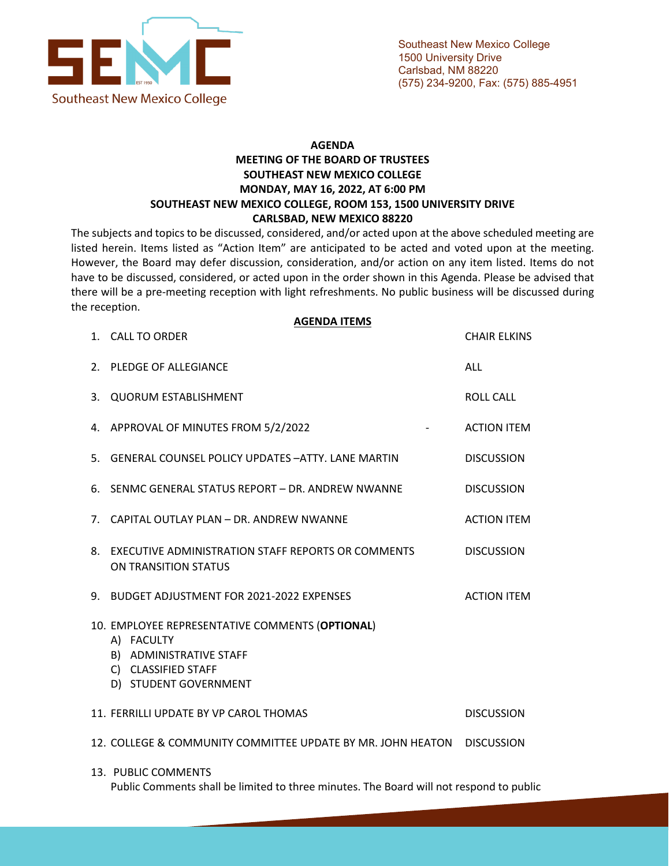

## **AGENDA MEETING OF THE BOARD OF TRUSTEES SOUTHEAST NEW MEXICO COLLEGE MONDAY, MAY 16, 2022, AT 6:00 PM SOUTHEAST NEW MEXICO COLLEGE, ROOM 153, 1500 UNIVERSITY DRIVE CARLSBAD, NEW MEXICO 88220**

The subjects and topics to be discussed, considered, and/or acted upon at the above scheduled meeting are listed herein. Items listed as "Action Item" are anticipated to be acted and voted upon at the meeting. However, the Board may defer discussion, consideration, and/or action on any item listed. Items do not have to be discussed, considered, or acted upon in the order shown in this Agenda. Please be advised that there will be a pre-meeting reception with light refreshments. No public business will be discussed during the reception.

|    | <b>AGENDA ITEMS</b><br>1. CALL TO ORDER                                                                                                  | <b>CHAIR ELKINS</b> |
|----|------------------------------------------------------------------------------------------------------------------------------------------|---------------------|
|    | 2. PLEDGE OF ALLEGIANCE                                                                                                                  | ALL                 |
| 3. | <b>QUORUM ESTABLISHMENT</b>                                                                                                              | <b>ROLL CALL</b>    |
|    | 4. APPROVAL OF MINUTES FROM 5/2/2022                                                                                                     | <b>ACTION ITEM</b>  |
|    | 5. GENERAL COUNSEL POLICY UPDATES - ATTY, LANE MARTIN                                                                                    | <b>DISCUSSION</b>   |
|    | 6. SENMC GENERAL STATUS REPORT - DR. ANDREW NWANNE                                                                                       | <b>DISCUSSION</b>   |
|    | 7. CAPITAL OUTLAY PLAN - DR. ANDREW NWANNE                                                                                               | <b>ACTION ITEM</b>  |
| 8. | EXECUTIVE ADMINISTRATION STAFF REPORTS OR COMMENTS<br>ON TRANSITION STATUS                                                               | <b>DISCUSSION</b>   |
|    | 9. BUDGET ADJUSTMENT FOR 2021-2022 EXPENSES                                                                                              | <b>ACTION ITEM</b>  |
|    | 10. EMPLOYEE REPRESENTATIVE COMMENTS (OPTIONAL)<br>A) FACULTY<br>B) ADMINISTRATIVE STAFF<br>C) CLASSIFIED STAFF<br>D) STUDENT GOVERNMENT |                     |
|    | 11. FERRILLI UPDATE BY VP CAROL THOMAS                                                                                                   | <b>DISCUSSION</b>   |
|    | 12. COLLEGE & COMMUNITY COMMITTEE UPDATE BY MR. JOHN HEATON DISCUSSION                                                                   |                     |
|    | 13. PUBLIC COMMENTS<br>Public Comments shall be limited to three minutes. The Board will not respond to public                           |                     |